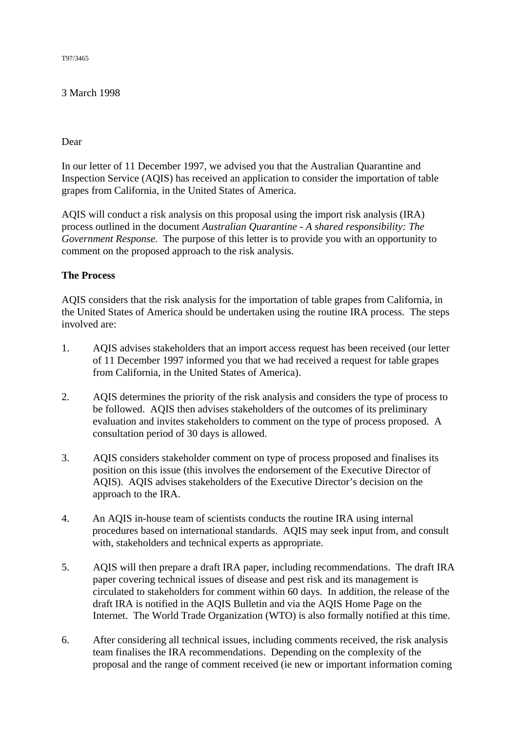T97/3465

### 3 March 1998

### Dear

In our letter of 11 December 1997, we advised you that the Australian Quarantine and Inspection Service (AQIS) has received an application to consider the importation of table grapes from California, in the United States of America.

AQIS will conduct a risk analysis on this proposal using the import risk analysis (IRA) process outlined in the document *Australian Quarantine - A shared responsibility: The Government Response*. The purpose of this letter is to provide you with an opportunity to comment on the proposed approach to the risk analysis.

# **The Process**

AQIS considers that the risk analysis for the importation of table grapes from California, in the United States of America should be undertaken using the routine IRA process. The steps involved are:

- 1. AQIS advises stakeholders that an import access request has been received (our letter of 11 December 1997 informed you that we had received a request for table grapes from California, in the United States of America).
- 2. AQIS determines the priority of the risk analysis and considers the type of process to be followed. AQIS then advises stakeholders of the outcomes of its preliminary evaluation and invites stakeholders to comment on the type of process proposed. A consultation period of 30 days is allowed.
- 3. AQIS considers stakeholder comment on type of process proposed and finalises its position on this issue (this involves the endorsement of the Executive Director of AQIS). AQIS advises stakeholders of the Executive Director's decision on the approach to the IRA.
- 4. An AQIS in-house team of scientists conducts the routine IRA using internal procedures based on international standards. AQIS may seek input from, and consult with, stakeholders and technical experts as appropriate.
- 5. AQIS will then prepare a draft IRA paper, including recommendations. The draft IRA paper covering technical issues of disease and pest risk and its management is circulated to stakeholders for comment within 60 days. In addition, the release of the draft IRA is notified in the AQIS Bulletin and via the AQIS Home Page on the Internet. The World Trade Organization (WTO) is also formally notified at this time.
- 6. After considering all technical issues, including comments received, the risk analysis team finalises the IRA recommendations. Depending on the complexity of the proposal and the range of comment received (ie new or important information coming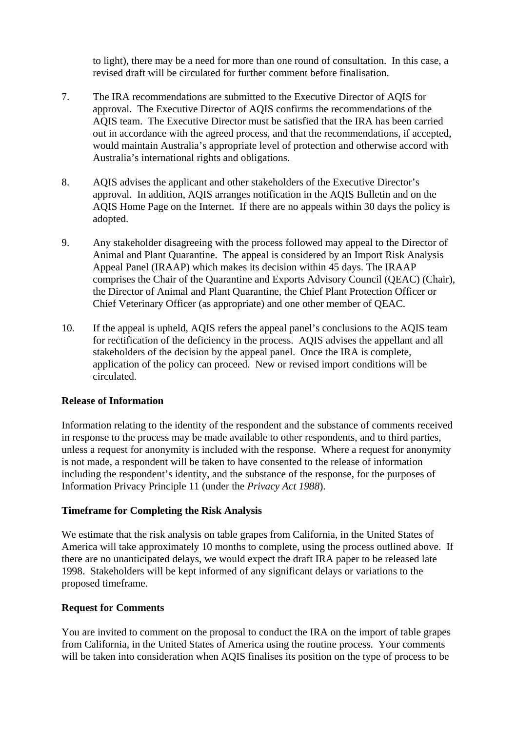to light), there may be a need for more than one round of consultation. In this case, a revised draft will be circulated for further comment before finalisation.

- 7. The IRA recommendations are submitted to the Executive Director of AQIS for approval. The Executive Director of AQIS confirms the recommendations of the AQIS team. The Executive Director must be satisfied that the IRA has been carried out in accordance with the agreed process, and that the recommendations, if accepted, would maintain Australia's appropriate level of protection and otherwise accord with Australia's international rights and obligations.
- 8. AQIS advises the applicant and other stakeholders of the Executive Director's approval. In addition, AQIS arranges notification in the AQIS Bulletin and on the AQIS Home Page on the Internet. If there are no appeals within 30 days the policy is adopted.
- 9. Any stakeholder disagreeing with the process followed may appeal to the Director of Animal and Plant Quarantine. The appeal is considered by an Import Risk Analysis Appeal Panel (IRAAP) which makes its decision within 45 days. The IRAAP comprises the Chair of the Quarantine and Exports Advisory Council (QEAC) (Chair), the Director of Animal and Plant Quarantine, the Chief Plant Protection Officer or Chief Veterinary Officer (as appropriate) and one other member of QEAC.
- 10. If the appeal is upheld, AQIS refers the appeal panel's conclusions to the AQIS team for rectification of the deficiency in the process. AQIS advises the appellant and all stakeholders of the decision by the appeal panel. Once the IRA is complete, application of the policy can proceed. New or revised import conditions will be circulated.

# **Release of Information**

Information relating to the identity of the respondent and the substance of comments received in response to the process may be made available to other respondents, and to third parties, unless a request for anonymity is included with the response. Where a request for anonymity is not made, a respondent will be taken to have consented to the release of information including the respondent's identity, and the substance of the response, for the purposes of Information Privacy Principle 11 (under the *Privacy Act 1988*).

# **Timeframe for Completing the Risk Analysis**

We estimate that the risk analysis on table grapes from California, in the United States of America will take approximately 10 months to complete, using the process outlined above. If there are no unanticipated delays, we would expect the draft IRA paper to be released late 1998. Stakeholders will be kept informed of any significant delays or variations to the proposed timeframe.

### **Request for Comments**

You are invited to comment on the proposal to conduct the IRA on the import of table grapes from California, in the United States of America using the routine process. Your comments will be taken into consideration when AQIS finalises its position on the type of process to be